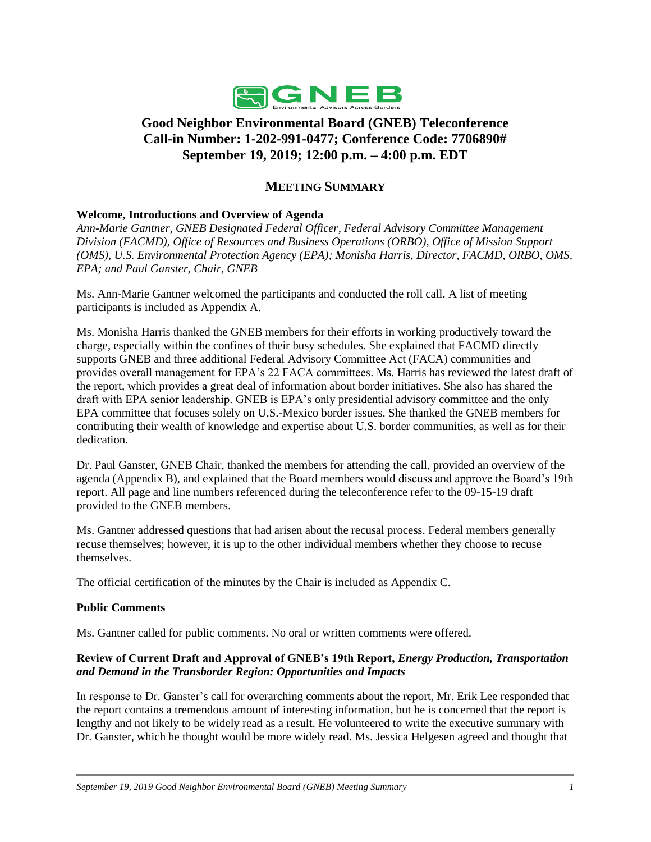

# **Good Neighbor Environmental Board (GNEB) Teleconference Call-in Number: 1-202-991-0477; Conference Code: 7706890# September 19, 2019; 12:00 p.m. – 4:00 p.m. EDT**

# **MEETING SUMMARY**

# **Welcome, Introductions and Overview of Agenda**

*Ann-Marie Gantner, GNEB Designated Federal Officer, Federal Advisory Committee Management Division (FACMD), Office of Resources and Business Operations (ORBO), Office of Mission Support (OMS), U.S. Environmental Protection Agency (EPA); Monisha Harris, Director, FACMD, ORBO, OMS, EPA; and Paul Ganster, Chair, GNEB* 

 Ms. Ann-Marie Gantner welcomed the participants and conducted the roll call. A list of meeting participants is included as Appendix A.

 provides overall management for EPA's 22 FACA committees. Ms. Harris has reviewed the latest draft of the report, which provides a great deal of information about border initiatives. She also has shared the contributing their wealth of knowledge and expertise about U.S. border communities, as well as for their Ms. Monisha Harris thanked the GNEB members for their efforts in working productively toward the charge, especially within the confines of their busy schedules. She explained that FACMD directly supports GNEB and three additional Federal Advisory Committee Act (FACA) communities and draft with EPA senior leadership. GNEB is EPA's only presidential advisory committee and the only EPA committee that focuses solely on U.S.-Mexico border issues. She thanked the GNEB members for dedication.

 report. All page and line numbers referenced during the teleconference refer to the 09-15-19 draft Dr. Paul Ganster, GNEB Chair, thanked the members for attending the call, provided an overview of the agenda (Appendix B), and explained that the Board members would discuss and approve the Board's 19th provided to the GNEB members.

Ms. Gantner addressed questions that had arisen about the recusal process. Federal members generally recuse themselves; however, it is up to the other individual members whether they choose to recuse themselves.

The official certification of the minutes by the Chair is included as Appendix C.

# **Public Comments**

Ms. Gantner called for public comments. No oral or written comments were offered.

# **Review of Current Draft and Approval of GNEB's 19th Report,** *Energy Production, Transportation and Demand in the Transborder Region: Opportunities and Impacts*

 In response to Dr. Ganster's call for overarching comments about the report, Mr. Erik Lee responded that the report contains a tremendous amount of interesting information, but he is concerned that the report is Dr. Ganster, which he thought would be more widely read. Ms. Jessica Helgesen agreed and thought that lengthy and not likely to be widely read as a result. He volunteered to write the executive summary with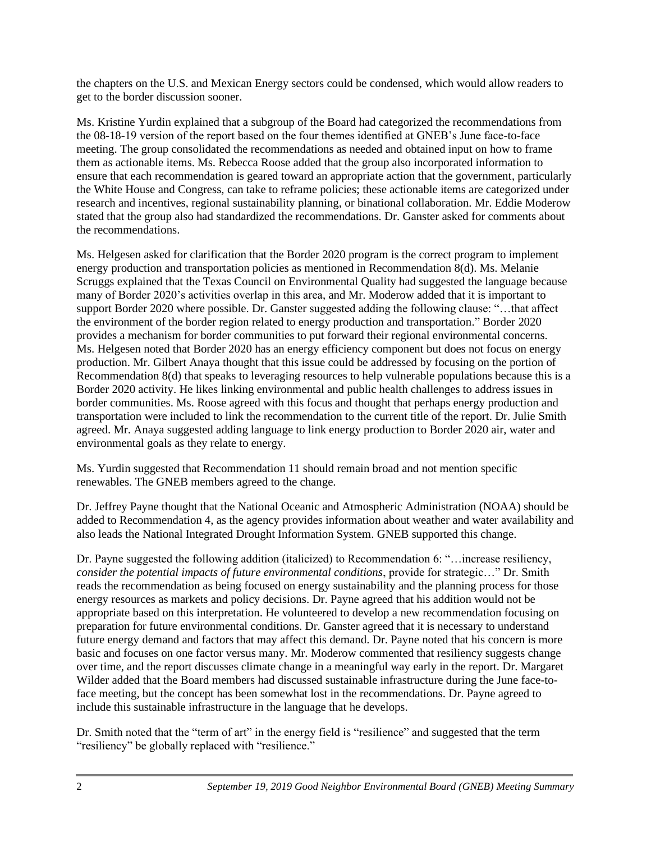the chapters on the U.S. and Mexican Energy sectors could be condensed, which would allow readers to get to the border discussion sooner.

 the 08-18-19 version of the report based on the four themes identified at GNEB's June face-to-face Ms. Kristine Yurdin explained that a subgroup of the Board had categorized the recommendations from meeting. The group consolidated the recommendations as needed and obtained input on how to frame them as actionable items. Ms. Rebecca Roose added that the group also incorporated information to ensure that each recommendation is geared toward an appropriate action that the government, particularly the White House and Congress, can take to reframe policies; these actionable items are categorized under research and incentives, regional sustainability planning, or binational collaboration. Mr. Eddie Moderow stated that the group also had standardized the recommendations. Dr. Ganster asked for comments about the recommendations.

 energy production and transportation policies as mentioned in Recommendation 8(d). Ms. Melanie agreed. Mr. Anaya suggested adding language to link energy production to Border 2020 air, water and Ms. Helgesen asked for clarification that the Border 2020 program is the correct program to implement Scruggs explained that the Texas Council on Environmental Quality had suggested the language because many of Border 2020's activities overlap in this area, and Mr. Moderow added that it is important to support Border 2020 where possible. Dr. Ganster suggested adding the following clause: "…that affect the environment of the border region related to energy production and transportation." Border 2020 provides a mechanism for border communities to put forward their regional environmental concerns. Ms. Helgesen noted that Border 2020 has an energy efficiency component but does not focus on energy production. Mr. Gilbert Anaya thought that this issue could be addressed by focusing on the portion of Recommendation 8(d) that speaks to leveraging resources to help vulnerable populations because this is a Border 2020 activity. He likes linking environmental and public health challenges to address issues in border communities. Ms. Roose agreed with this focus and thought that perhaps energy production and transportation were included to link the recommendation to the current title of the report. Dr. Julie Smith environmental goals as they relate to energy.

Ms. Yurdin suggested that Recommendation 11 should remain broad and not mention specific renewables. The GNEB members agreed to the change.

 Dr. Jeffrey Payne thought that the National Oceanic and Atmospheric Administration (NOAA) should be added to Recommendation 4, as the agency provides information about weather and water availability and also leads the National Integrated Drought Information System. GNEB supported this change.

 reads the recommendation as being focused on energy sustainability and the planning process for those preparation for future environmental conditions. Dr. Ganster agreed that it is necessary to understand future energy demand and factors that may affect this demand. Dr. Payne noted that his concern is more Dr. Payne suggested the following addition (italicized) to Recommendation 6: "…increase resiliency, *consider the potential impacts of future environmental conditions*, provide for strategic…" Dr. Smith energy resources as markets and policy decisions. Dr. Payne agreed that his addition would not be appropriate based on this interpretation. He volunteered to develop a new recommendation focusing on basic and focuses on one factor versus many. Mr. Moderow commented that resiliency suggests change over time, and the report discusses climate change in a meaningful way early in the report. Dr. Margaret Wilder added that the Board members had discussed sustainable infrastructure during the June face-toface meeting, but the concept has been somewhat lost in the recommendations. Dr. Payne agreed to include this sustainable infrastructure in the language that he develops.

Dr. Smith noted that the "term of art" in the energy field is "resilience" and suggested that the term "resiliency" be globally replaced with "resilience."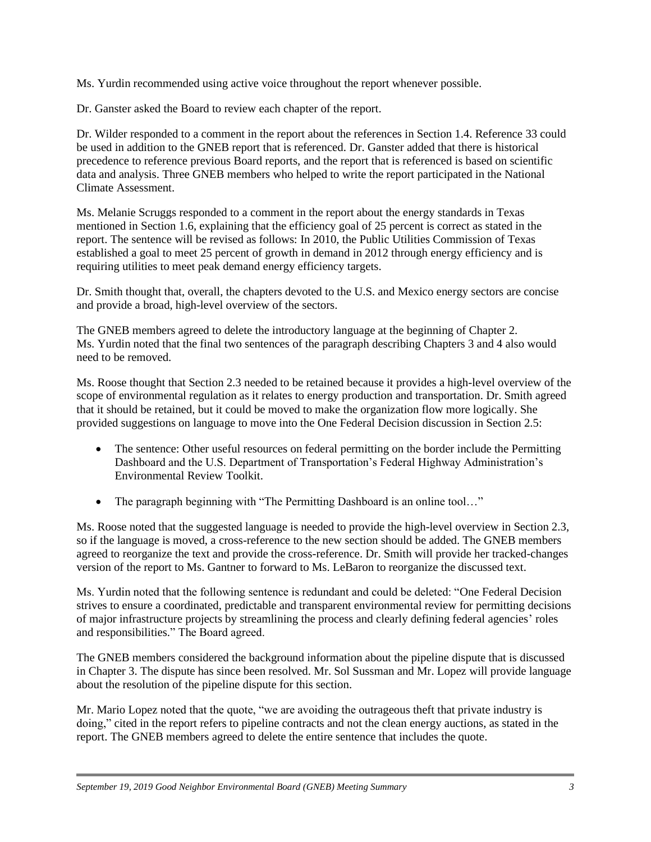Ms. Yurdin recommended using active voice throughout the report whenever possible.

Dr. Ganster asked the Board to review each chapter of the report.

Dr. Wilder responded to a comment in the report about the references in Section 1.4. Reference 33 could be used in addition to the GNEB report that is referenced. Dr. Ganster added that there is historical precedence to reference previous Board reports, and the report that is referenced is based on scientific data and analysis. Three GNEB members who helped to write the report participated in the National Climate Assessment.

 Ms. Melanie Scruggs responded to a comment in the report about the energy standards in Texas report. The sentence will be revised as follows: In 2010, the Public Utilities Commission of Texas mentioned in Section 1.6, explaining that the efficiency goal of 25 percent is correct as stated in the established a goal to meet 25 percent of growth in demand in 2012 through energy efficiency and is requiring utilities to meet peak demand energy efficiency targets.

Dr. Smith thought that, overall, the chapters devoted to the U.S. and Mexico energy sectors are concise and provide a broad, high-level overview of the sectors.

 The GNEB members agreed to delete the introductory language at the beginning of Chapter 2. Ms. Yurdin noted that the final two sentences of the paragraph describing Chapters 3 and 4 also would need to be removed.

 scope of environmental regulation as it relates to energy production and transportation. Dr. Smith agreed Ms. Roose thought that Section 2.3 needed to be retained because it provides a high-level overview of the that it should be retained, but it could be moved to make the organization flow more logically. She provided suggestions on language to move into the One Federal Decision discussion in Section 2.5:

- The sentence: Other useful resources on federal permitting on the border include the Permitting Dashboard and the U.S. Department of Transportation's Federal Highway Administration's Environmental Review Toolkit.
- The paragraph beginning with "The Permitting Dashboard is an online tool..."

Ms. Roose noted that the suggested language is needed to provide the high-level overview in Section 2.3, so if the language is moved, a cross-reference to the new section should be added. The GNEB members agreed to reorganize the text and provide the cross-reference. Dr. Smith will provide her tracked-changes version of the report to Ms. Gantner to forward to Ms. LeBaron to reorganize the discussed text.

Ms. Yurdin noted that the following sentence is redundant and could be deleted: "One Federal Decision strives to ensure a coordinated, predictable and transparent environmental review for permitting decisions of major infrastructure projects by streamlining the process and clearly defining federal agencies' roles and responsibilities." The Board agreed.

The GNEB members considered the background information about the pipeline dispute that is discussed in Chapter 3. The dispute has since been resolved. Mr. Sol Sussman and Mr. Lopez will provide language about the resolution of the pipeline dispute for this section.

 Mr. Mario Lopez noted that the quote, "we are avoiding the outrageous theft that private industry is doing," cited in the report refers to pipeline contracts and not the clean energy auctions, as stated in the report. The GNEB members agreed to delete the entire sentence that includes the quote.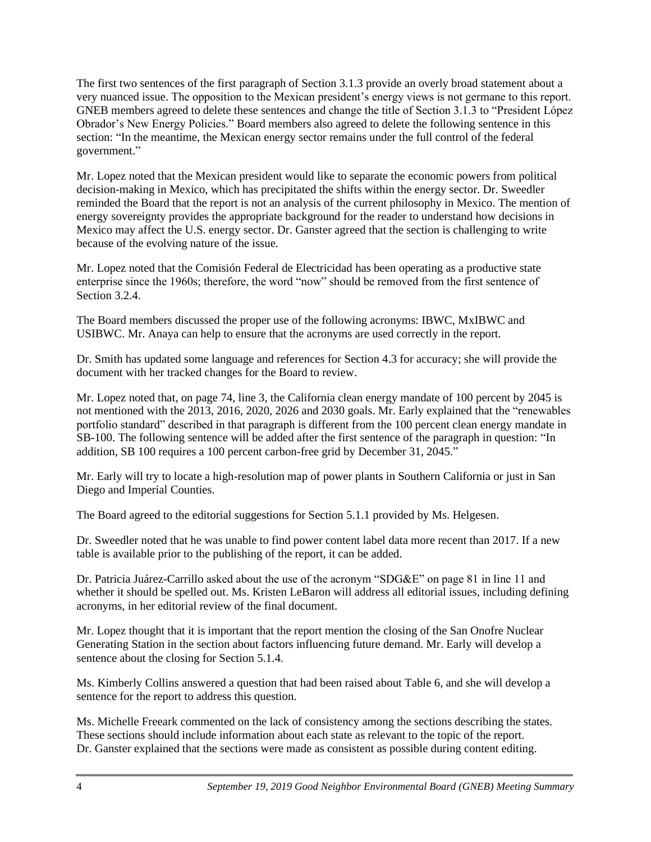section: "In the meantime, the Mexican energy sector remains under the full control of the federal The first two sentences of the first paragraph of Section 3.1.3 provide an overly broad statement about a very nuanced issue. The opposition to the Mexican president's energy views is not germane to this report. GNEB members agreed to delete these sentences and change the title of Section 3.1.3 to "President López Obrador's New Energy Policies." Board members also agreed to delete the following sentence in this government."

 Mexico may affect the U.S. energy sector. Dr. Ganster agreed that the section is challenging to write Mr. Lopez noted that the Mexican president would like to separate the economic powers from political decision-making in Mexico, which has precipitated the shifts within the energy sector. Dr. Sweedler reminded the Board that the report is not an analysis of the current philosophy in Mexico. The mention of energy sovereignty provides the appropriate background for the reader to understand how decisions in because of the evolving nature of the issue.

 enterprise since the 1960s; therefore, the word "now" should be removed from the first sentence of Mr. Lopez noted that the Comisión Federal de Electricidad has been operating as a productive state Section 3.2.4

The Board members discussed the proper use of the following acronyms: IBWC, MxIBWC and USIBWC. Mr. Anaya can help to ensure that the acronyms are used correctly in the report.

 Dr. Smith has updated some language and references for Section 4.3 for accuracy; she will provide the document with her tracked changes for the Board to review.

 addition, SB 100 requires a 100 percent carbon-free grid by December 31, 2045." Mr. Lopez noted that, on page 74, line 3, the California clean energy mandate of 100 percent by 2045 is not mentioned with the 2013, 2016, 2020, 2026 and 2030 goals. Mr. Early explained that the "renewables portfolio standard" described in that paragraph is different from the 100 percent clean energy mandate in SB-100. The following sentence will be added after the first sentence of the paragraph in question: "In

Mr. Early will try to locate a high-resolution map of power plants in Southern California or just in San Diego and Imperial Counties.

The Board agreed to the editorial suggestions for Section 5.1.1 provided by Ms. Helgesen.

 Dr. Sweedler noted that he was unable to find power content label data more recent than 2017. If a new table is available prior to the publishing of the report, it can be added.

Dr. Patricia Juárez-Carrillo asked about the use of the acronym "SDG&E" on page 81 in line 11 and whether it should be spelled out. Ms. Kristen LeBaron will address all editorial issues, including defining acronyms, in her editorial review of the final document.

 Mr. Lopez thought that it is important that the report mention the closing of the San Onofre Nuclear Generating Station in the section about factors influencing future demand. Mr. Early will develop a sentence about the closing for Section 5.1.4.

Ms. Kimberly Collins answered a question that had been raised about Table 6, and she will develop a sentence for the report to address this question.

Ms. Michelle Freeark commented on the lack of consistency among the sections describing the states. These sections should include information about each state as relevant to the topic of the report. Dr. Ganster explained that the sections were made as consistent as possible during content editing.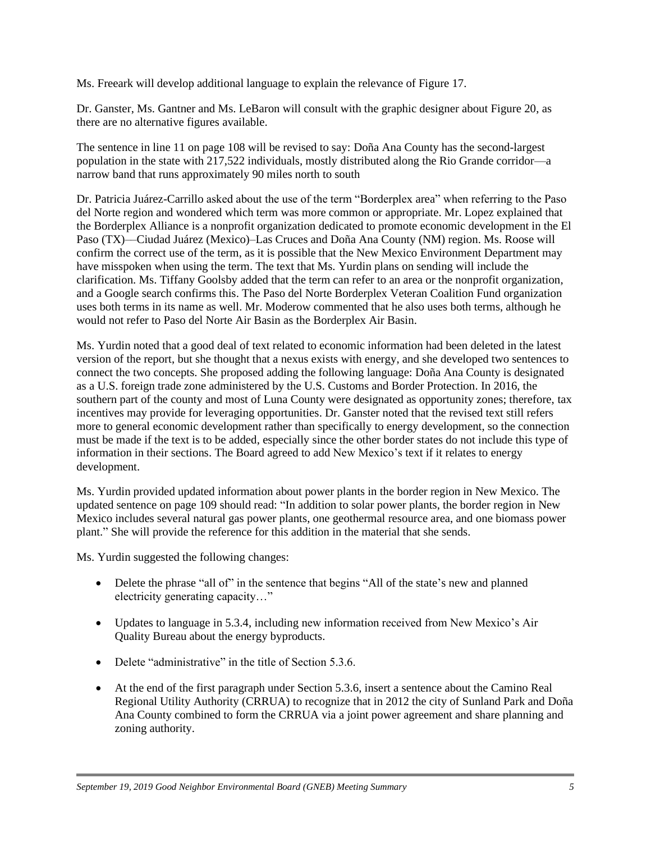Ms. Freeark will develop additional language to explain the relevance of Figure 17.

Dr. Ganster, Ms. Gantner and Ms. LeBaron will consult with the graphic designer about Figure 20, as there are no alternative figures available.

The sentence in line 11 on page 108 will be revised to say: Doña Ana County has the second-largest population in the state with 217,522 individuals, mostly distributed along the Rio Grande corridor—a narrow band that runs approximately 90 miles north to south

 clarification. Ms. Tiffany Goolsby added that the term can refer to an area or the nonprofit organization, Dr. Patricia Juárez-Carrillo asked about the use of the term "Borderplex area" when referring to the Paso del Norte region and wondered which term was more common or appropriate. Mr. Lopez explained that the Borderplex Alliance is a nonprofit organization dedicated to promote economic development in the El Paso (TX)––Ciudad Juárez (Mexico)–Las Cruces and Doña Ana County (NM) region. Ms. Roose will confirm the correct use of the term, as it is possible that the New Mexico Environment Department may have misspoken when using the term. The text that Ms. Yurdin plans on sending will include the and a Google search confirms this. The Paso del Norte Borderplex Veteran Coalition Fund organization uses both terms in its name as well. Mr. Moderow commented that he also uses both terms, although he would not refer to Paso del Norte Air Basin as the Borderplex Air Basin.

 version of the report, but she thought that a nexus exists with energy, and she developed two sentences to Ms. Yurdin noted that a good deal of text related to economic information had been deleted in the latest connect the two concepts. She proposed adding the following language: Doña Ana County is designated as a U.S. foreign trade zone administered by the U.S. Customs and Border Protection. In 2016, the southern part of the county and most of Luna County were designated as opportunity zones; therefore, tax incentives may provide for leveraging opportunities. Dr. Ganster noted that the revised text still refers more to general economic development rather than specifically to energy development, so the connection must be made if the text is to be added, especially since the other border states do not include this type of information in their sections. The Board agreed to add New Mexico's text if it relates to energy development.

 plant." She will provide the reference for this addition in the material that she sends. Ms. Yurdin provided updated information about power plants in the border region in New Mexico. The updated sentence on page 109 should read: "In addition to solar power plants, the border region in New Mexico includes several natural gas power plants, one geothermal resource area, and one biomass power

Ms. Yurdin suggested the following changes:

- Delete the phrase "all of" in the sentence that begins "All of the state's new and planned electricity generating capacity…"
- Updates to language in 5.3.4, including new information received from New Mexico's Air Quality Bureau about the energy byproducts.
- Delete "administrative" in the title of Section 5.3.6.
- At the end of the first paragraph under Section 5.3.6, insert a sentence about the Camino Real Regional Utility Authority (CRRUA) to recognize that in 2012 the city of Sunland Park and Doña Ana County combined to form the CRRUA via a joint power agreement and share planning and zoning authority.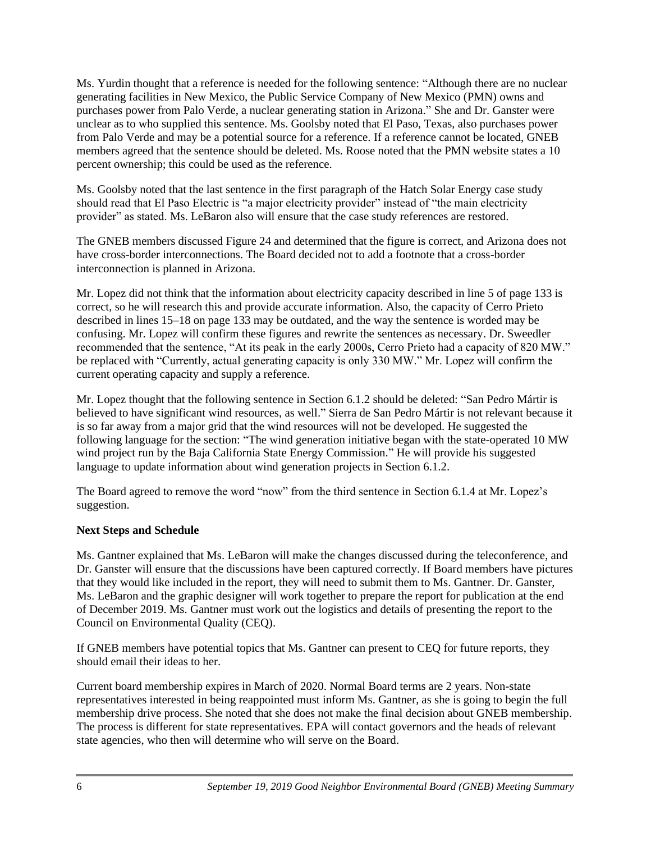unclear as to who supplied this sentence. Ms. Goolsby noted that El Paso, Texas, also purchases power percent ownership; this could be used as the reference. Ms. Yurdin thought that a reference is needed for the following sentence: "Although there are no nuclear generating facilities in New Mexico, the Public Service Company of New Mexico (PMN) owns and purchases power from Palo Verde, a nuclear generating station in Arizona." She and Dr. Ganster were from Palo Verde and may be a potential source for a reference. If a reference cannot be located, GNEB members agreed that the sentence should be deleted. Ms. Roose noted that the PMN website states a 10

 Ms. Goolsby noted that the last sentence in the first paragraph of the Hatch Solar Energy case study should read that El Paso Electric is "a major electricity provider" instead of "the main electricity provider" as stated. Ms. LeBaron also will ensure that the case study references are restored.

The GNEB members discussed Figure 24 and determined that the figure is correct, and Arizona does not have cross-border interconnections. The Board decided not to add a footnote that a cross-border interconnection is planned in Arizona.

Mr. Lopez did not think that the information about electricity capacity described in line 5 of page 133 is correct, so he will research this and provide accurate information. Also, the capacity of Cerro Prieto described in lines 15–18 on page 133 may be outdated, and the way the sentence is worded may be confusing. Mr. Lopez will confirm these figures and rewrite the sentences as necessary. Dr. Sweedler recommended that the sentence, "At its peak in the early 2000s, Cerro Prieto had a capacity of 820 MW." be replaced with "Currently, actual generating capacity is only 330 MW." Mr. Lopez will confirm the current operating capacity and supply a reference.

 Mr. Lopez thought that the following sentence in Section 6.1.2 should be deleted: "San Pedro Mártir is following language for the section: "The wind generation initiative began with the state-operated 10 MW believed to have significant wind resources, as well." Sierra de San Pedro Mártir is not relevant because it is so far away from a major grid that the wind resources will not be developed. He suggested the wind project run by the Baja California State Energy Commission." He will provide his suggested language to update information about wind generation projects in Section 6.1.2.

The Board agreed to remove the word "now" from the third sentence in Section 6.1.4 at Mr. Lopez's suggestion.

# **Next Steps and Schedule**

Ms. Gantner explained that Ms. LeBaron will make the changes discussed during the teleconference, and Dr. Ganster will ensure that the discussions have been captured correctly. If Board members have pictures that they would like included in the report, they will need to submit them to Ms. Gantner. Dr. Ganster, Ms. LeBaron and the graphic designer will work together to prepare the report for publication at the end of December 2019. Ms. Gantner must work out the logistics and details of presenting the report to the Council on Environmental Quality (CEQ).

 If GNEB members have potential topics that Ms. Gantner can present to CEQ for future reports, they should email their ideas to her.

 The process is different for state representatives. EPA will contact governors and the heads of relevant Current board membership expires in March of 2020. Normal Board terms are 2 years. Non-state representatives interested in being reappointed must inform Ms. Gantner, as she is going to begin the full membership drive process. She noted that she does not make the final decision about GNEB membership. state agencies, who then will determine who will serve on the Board.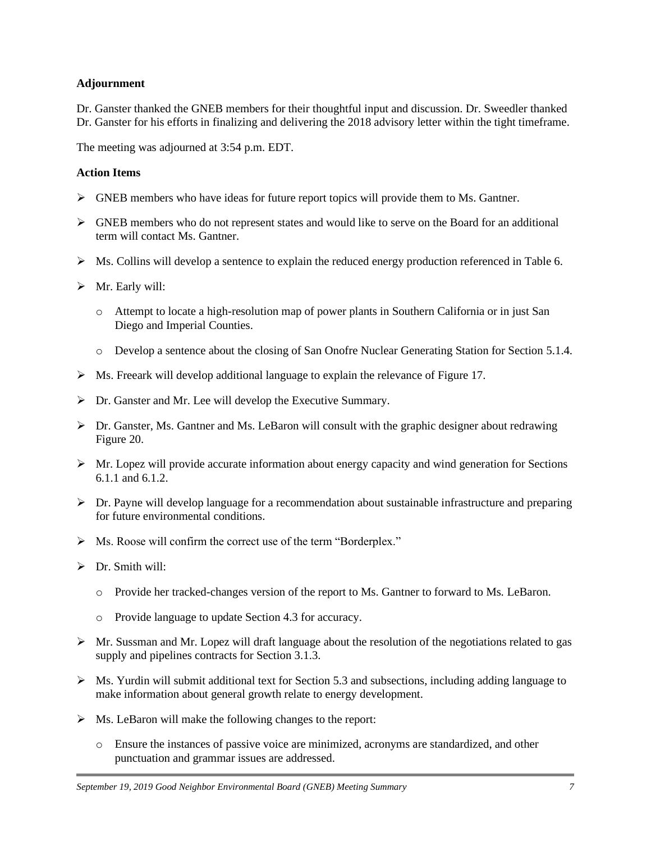# **Adjournment**

 Dr. Ganster thanked the GNEB members for their thoughtful input and discussion. Dr. Sweedler thanked Dr. Ganster for his efforts in finalizing and delivering the 2018 advisory letter within the tight timeframe.

The meeting was adjourned at 3:54 p.m. EDT.

# **Action Items**

- $\triangleright$  GNEB members who have ideas for future report topics will provide them to Ms. Gantner.
- ➢ GNEB members who do not represent states and would like to serve on the Board for an additional term will contact Ms. Gantner.
- $\triangleright$  Ms. Collins will develop a sentence to explain the reduced energy production referenced in Table 6.
- ➢ Mr. Early will:
	- o Attempt to locate a high-resolution map of power plants in Southern California or in just San Diego and Imperial Counties.
	- o Develop a sentence about the closing of San Onofre Nuclear Generating Station for Section 5.1.4.
- ➢ Ms. Freeark will develop additional language to explain the relevance of Figure 17.
- ➢ Dr. Ganster and Mr. Lee will develop the Executive Summary.
- $\triangleright$  Dr. Ganster, Ms. Gantner and Ms. LeBaron will consult with the graphic designer about redrawing Figure 20.
- $\triangleright$  Mr. Lopez will provide accurate information about energy capacity and wind generation for Sections 6.1.1 and 6.1.2.
- ➢ Dr. Payne will develop language for a recommendation about sustainable infrastructure and preparing for future environmental conditions.
- ➢ Ms. Roose will confirm the correct use of the term "Borderplex."
- ➢ Dr. Smith will:
	- o Provide her tracked-changes version of the report to Ms. Gantner to forward to Ms. LeBaron.
	- o Provide language to update Section 4.3 for accuracy.
- $\triangleright$  Mr. Sussman and Mr. Lopez will draft language about the resolution of the negotiations related to gas supply and pipelines contracts for Section 3.1.3.
- $\triangleright$  Ms. Yurdin will submit additional text for Section 5.3 and subsections, including adding language to make information about general growth relate to energy development.
- ➢ Ms. LeBaron will make the following changes to the report:
	- o Ensure the instances of passive voice are minimized, acronyms are standardized, and other punctuation and grammar issues are addressed.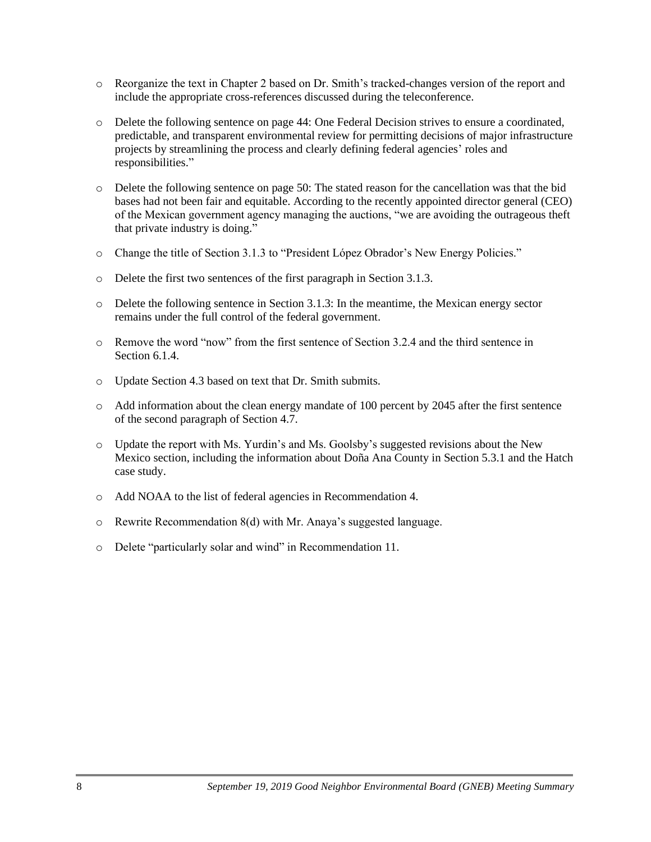- o Reorganize the text in Chapter 2 based on Dr. Smith's tracked-changes version of the report and include the appropriate cross-references discussed during the teleconference.
- o Delete the following sentence on page 44: One Federal Decision strives to ensure a coordinated, predictable, and transparent environmental review for permitting decisions of major infrastructure projects by streamlining the process and clearly defining federal agencies' roles and responsibilities."
- bases had not been fair and equitable. According to the recently appointed director general (CEO) o Delete the following sentence on page 50: The stated reason for the cancellation was that the bid of the Mexican government agency managing the auctions, "we are avoiding the outrageous theft that private industry is doing."
- o Change the title of Section 3.1.3 to "President López Obrador's New Energy Policies."
- o Delete the first two sentences of the first paragraph in Section 3.1.3.
- o Delete the following sentence in Section 3.1.3: In the meantime, the Mexican energy sector remains under the full control of the federal government.
- o Remove the word "now" from the first sentence of Section 3.2.4 and the third sentence in Section 6.1.4.
- o Update Section 4.3 based on text that Dr. Smith submits.
- o Add information about the clean energy mandate of 100 percent by 2045 after the first sentence of the second paragraph of Section 4.7.
- o Update the report with Ms. Yurdin's and Ms. Goolsby's suggested revisions about the New Mexico section, including the information about Doña Ana County in Section 5.3.1 and the Hatch case study.
- o Add NOAA to the list of federal agencies in Recommendation 4.
- o Rewrite Recommendation 8(d) with Mr. Anaya's suggested language.
- o Delete "particularly solar and wind" in Recommendation 11.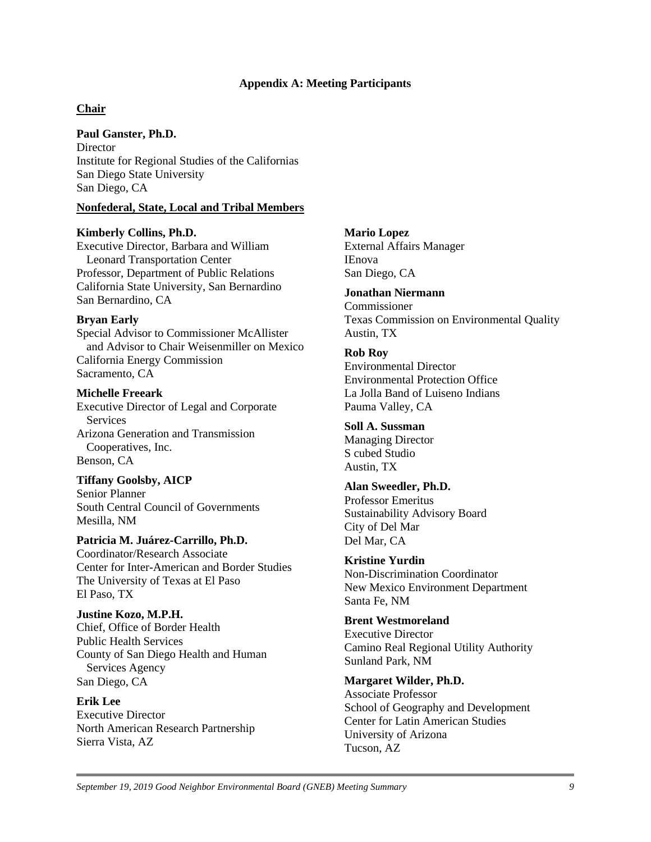#### **Appendix A: Meeting Participants**

## **Chair**

#### **Paul Ganster, Ph.D.**

**Director** Institute for Regional Studies of the Californias San Diego State University San Diego, CA

#### **Nonfederal, State, Local and Tribal Members**

#### **Kimberly Collins, Ph.D.**

Executive Director, Barbara and William Leonard Transportation Center Professor, Department of Public Relations California State University, San Bernardino San Bernardino, CA

#### **Bryan Early**

 Special Advisor to Commissioner McAllister and Advisor to Chair Weisenmiller on Mexico California Energy Commission Sacramento, CA

#### **Michelle Freeark**

Executive Director of Legal and Corporate Services Arizona Generation and Transmission Cooperatives, Inc. Benson, CA

#### **Tiffany Goolsby, AICP**

Senior Planner South Central Council of Governments Mesilla, NM

#### **Patricia M. Juárez-Carrillo, Ph.D.**

Coordinator/Research Associate Center for Inter-American and Border Studies The University of Texas at El Paso El Paso, TX

#### **Justine Kozo, M.P.H.**

Chief, Office of Border Health Public Health Services County of San Diego Health and Human Services Agency San Diego, CA

## **Erik Lee**

Executive Director North American Research Partnership Sierra Vista, AZ

#### **Mario Lopez**

External Affairs Manager IEnova San Diego, CA

#### **Jonathan Niermann**

Commissioner Texas Commission on Environmental Quality Austin, TX

#### **Rob Roy**

Environmental Director Environmental Protection Office La Jolla Band of Luiseno Indians Pauma Valley, CA

#### **Soll A. Sussman**

Managing Director S cubed Studio Austin, TX

#### **Alan Sweedler, Ph.D.**

Professor Emeritus Sustainability Advisory Board City of Del Mar Del Mar, CA

#### **Kristine Yurdin**

Non-Discrimination Coordinator New Mexico Environment Department Santa Fe, NM

#### **Brent Westmoreland**

Executive Director Camino Real Regional Utility Authority Sunland Park, NM

#### **Margaret Wilder, Ph.D.**

Associate Professor School of Geography and Development Center for Latin American Studies University of Arizona Tucson, AZ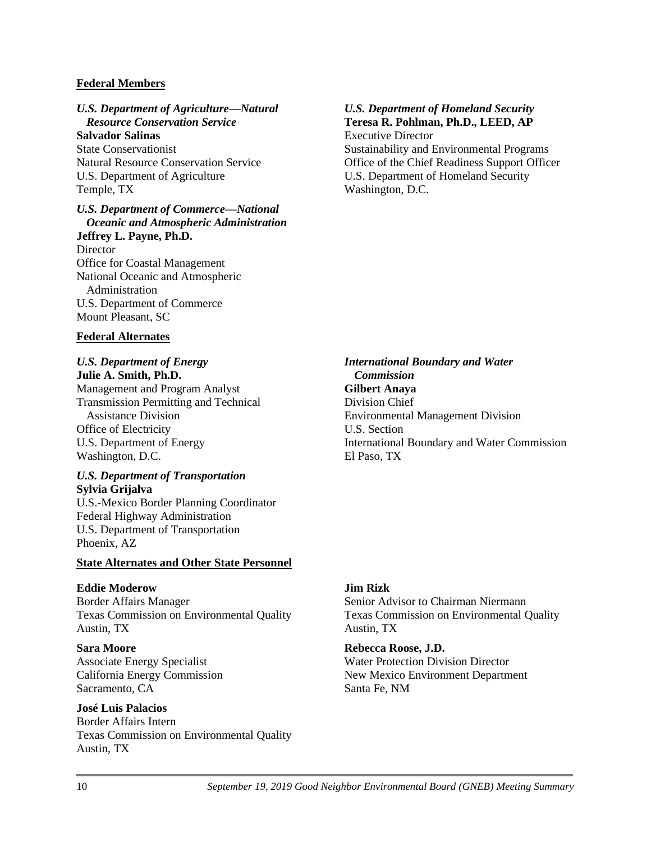#### **Federal Members**

#### *U.S. Department of Agriculture—Natural Resource Conservation Service*

**Salvador Salinas**  State Conservationist Natural Resource Conservation Service U.S. Department of Agriculture Temple, TX

#### *U.S. Department of Commerce—National Oceanic and Atmospheric Administration*  **Jeffrey L. Payne, Ph.D.**

**Director** Office for Coastal Management National Oceanic and Atmospheric Administration U.S. Department of Commerce Mount Pleasant, SC

#### **Federal Alternates**

#### *U.S. Department of Energy*  **Julie A. Smith, Ph.D.**

 U.S. Department of Energy Management and Program Analyst Transmission Permitting and Technical Assistance Division Office of Electricity Washington, D.C.

#### *U.S. Department of Transportation*  **Sylvia Grijalva**

U.S.-Mexico Border Planning Coordinator Federal Highway Administration U.S. Department of Transportation Phoenix, AZ

#### **State Alternates and Other State Personnel**

#### **Eddie Moderow**

Border Affairs Manager Texas Commission on Environmental Quality Austin, TX

**Sara Moore**  Associate Energy Specialist California Energy Commission Sacramento, CA

# **José Luis Palacios**

Border Affairs Intern Texas Commission on Environmental Quality Austin, TX

#### *U.S. Department of Homeland Security*  **Teresa R. Pohlman, Ph.D., LEED, AP**  Executive Director

Sustainability and Environmental Programs Office of the Chief Readiness Support Officer U.S. Department of Homeland Security Washington, D.C.

### *International Boundary and Water Commission*  **Gilbert Anaya**  Division Chief Environmental Management Division U.S. Section International Boundary and Water Commission El Paso, TX

#### **Jim Rizk**

Senior Advisor to Chairman Niermann Texas Commission on Environmental Quality Austin, TX

#### **Rebecca Roose, J.D.**

Water Protection Division Director New Mexico Environment Department Santa Fe, NM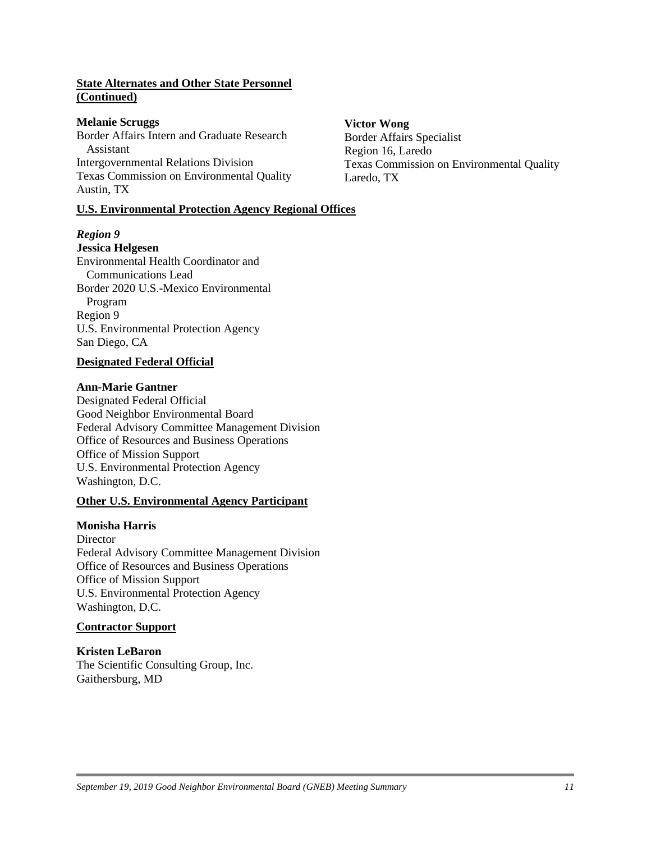### **State Alternates and Other State Personnel (Continued)**

#### **Melanie Scruggs Wictor Wong 2018**

Border Affairs Intern and Graduate Research<br>
Border Affairs Specialist<br>
Region 16 J aredo Intergovernmental Relations Division Texas Commission on Environmental Quality Texas Commission on Environmental Quality Laredo, TX Austin, TX

#### **U.S. Environmental Protection Agency Regional Offices**

# *Region 9*

#### **Jessica Helgesen**

Environmental Health Coordinator and Communications Lead Border 2020 U.S.-Mexico Environmental Program Region 9 U.S. Environmental Protection Agency San Diego, CA

#### **Designated Federal Official**

#### **Ann-Marie Gantner**

Designated Federal Official Good Neighbor Environmental Board Federal Advisory Committee Management Division Office of Resources and Business Operations Office of Mission Support U.S. Environmental Protection Agency Washington, D.C.

#### **Other U.S. Environmental Agency Participant**

#### **Monisha Harris**

**Director** Federal Advisory Committee Management Division Office of Resources and Business Operations Office of Mission Support U.S. Environmental Protection Agency Washington, D.C.

#### **Contractor Support**

#### **Kristen LeBaron**

The Scientific Consulting Group, Inc. Gaithersburg, MD

Region 16, Laredo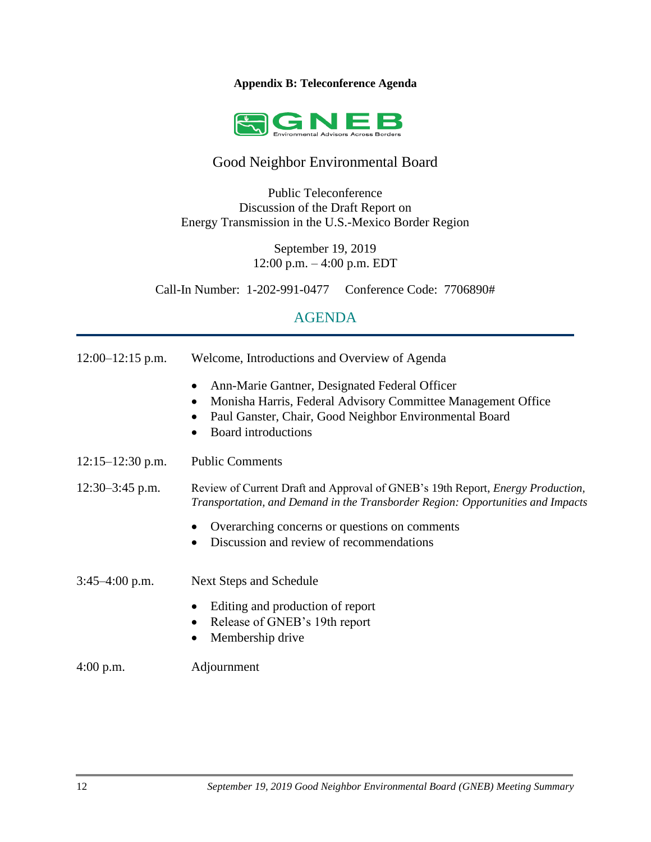# **Appendix B: Teleconference Agenda**



# Good Neighbor Environmental Board

Public Teleconference Discussion of the Draft Report on Energy Transmission in the U.S.-Mexico Border Region

> September 19, 2019 12:00 p.m. – 4:00 p.m. EDT

Call-In Number: 1-202-991-0477 Conference Code: 7706890#

# AGENDA

| $12:00-12:15$ p.m.   | Welcome, Introductions and Overview of Agenda                                                                                                                                                               |
|----------------------|-------------------------------------------------------------------------------------------------------------------------------------------------------------------------------------------------------------|
|                      | Ann-Marie Gantner, Designated Federal Officer<br>Monisha Harris, Federal Advisory Committee Management Office<br>$\bullet$<br>Paul Ganster, Chair, Good Neighbor Environmental Board<br>Board introductions |
| $12:15 - 12:30$ p.m. | <b>Public Comments</b>                                                                                                                                                                                      |
| $12:30-3:45$ p.m.    | Review of Current Draft and Approval of GNEB's 19th Report, <i>Energy Production</i> ,<br>Transportation, and Demand in the Transborder Region: Opportunities and Impacts                                   |
|                      | Overarching concerns or questions on comments<br>Discussion and review of recommendations                                                                                                                   |
| $3:45-4:00$ p.m.     | Next Steps and Schedule                                                                                                                                                                                     |
|                      | Editing and production of report<br>Release of GNEB's 19th report<br>$\bullet$<br>Membership drive                                                                                                          |
| 4:00 p.m.            | Adjournment                                                                                                                                                                                                 |